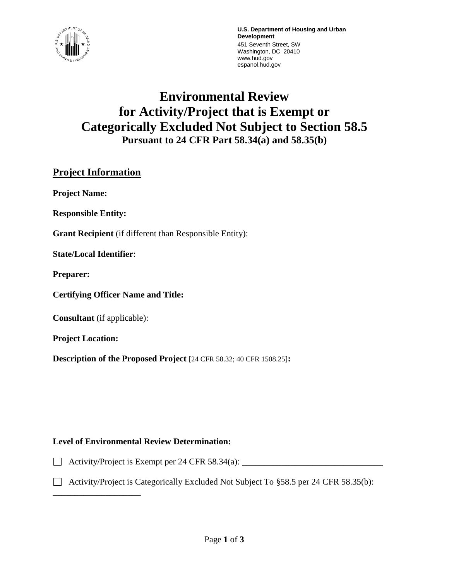

**U.S. Department of Housing and Urban Development** 451 Seventh Street, SW Washington, DC 20410 www.hud.gov espanol.hud.gov

# **Environmental Review for Activity/Project that is Exempt or Categorically Excluded Not Subject to Section 58.5 Pursuant to 24 CFR Part 58.34(a) and 58.35(b)**

# **Project Information**

**Project Name:**

**Responsible Entity:** 

**Grant Recipient** (if different than Responsible Entity):

**State/Local Identifier**:

**Preparer:**

**Certifying Officer Name and Title:**

**Consultant** (if applicable):

\_\_\_\_\_\_\_\_\_\_\_\_\_\_\_\_\_\_\_\_

**Project Location:**

**Description of the Proposed Project** [24 CFR 58.32; 40 CFR 1508.25]**:** 

### **Level of Environmental Review Determination:**

 $\Box$  Activity/Project is Exempt per 24 CFR 58.34(a):  $\Box$ 

Activity/Project is Categorically Excluded Not Subject To  $\S 58.5$  per 24 CFR 58.35(b):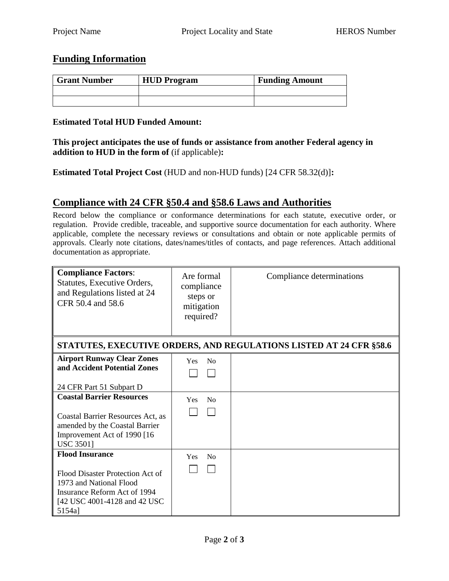## **Funding Information**

| <b>Grant Number</b> | <b>HUD</b> Program | <b>Funding Amount</b> |
|---------------------|--------------------|-----------------------|
|                     |                    |                       |
|                     |                    |                       |

#### **Estimated Total HUD Funded Amount:**

**This project anticipates the use of funds or assistance from another Federal agency in addition to HUD in the form of** (if applicable)**:**

**Estimated Total Project Cost** (HUD and non-HUD funds) [24 CFR 58.32(d)]**:**

## **Compliance with 24 CFR §50.4 and §58.6 Laws and Authorities**

Record below the compliance or conformance determinations for each statute, executive order, or regulation. Provide credible, traceable, and supportive source documentation for each authority. Where applicable, complete the necessary reviews or consultations and obtain or note applicable permits of approvals. Clearly note citations, dates/names/titles of contacts, and page references. Attach additional documentation as appropriate.

| <b>Compliance Factors:</b><br>Statutes, Executive Orders,<br>and Regulations listed at 24<br>CFR 50.4 and 58.6                        | Are formal<br>compliance<br>steps or<br>mitigation<br>required? | Compliance determinations |  |  |
|---------------------------------------------------------------------------------------------------------------------------------------|-----------------------------------------------------------------|---------------------------|--|--|
| STATUTES, EXECUTIVE ORDERS, AND REGULATIONS LISTED AT 24 CFR §58.6                                                                    |                                                                 |                           |  |  |
| <b>Airport Runway Clear Zones</b><br>and Accident Potential Zones                                                                     | No<br><b>Yes</b>                                                |                           |  |  |
| 24 CFR Part 51 Subpart D                                                                                                              |                                                                 |                           |  |  |
| <b>Coastal Barrier Resources</b>                                                                                                      | N <sub>0</sub><br>Yes                                           |                           |  |  |
| Coastal Barrier Resources Act, as<br>amended by the Coastal Barrier<br>Improvement Act of 1990 [16]<br><b>USC 3501]</b>               |                                                                 |                           |  |  |
| <b>Flood Insurance</b>                                                                                                                | N <sub>0</sub><br>Yes                                           |                           |  |  |
| Flood Disaster Protection Act of<br>1973 and National Flood<br>Insurance Reform Act of 1994<br>[42 USC 4001-4128 and 42 USC<br>5154a] |                                                                 |                           |  |  |